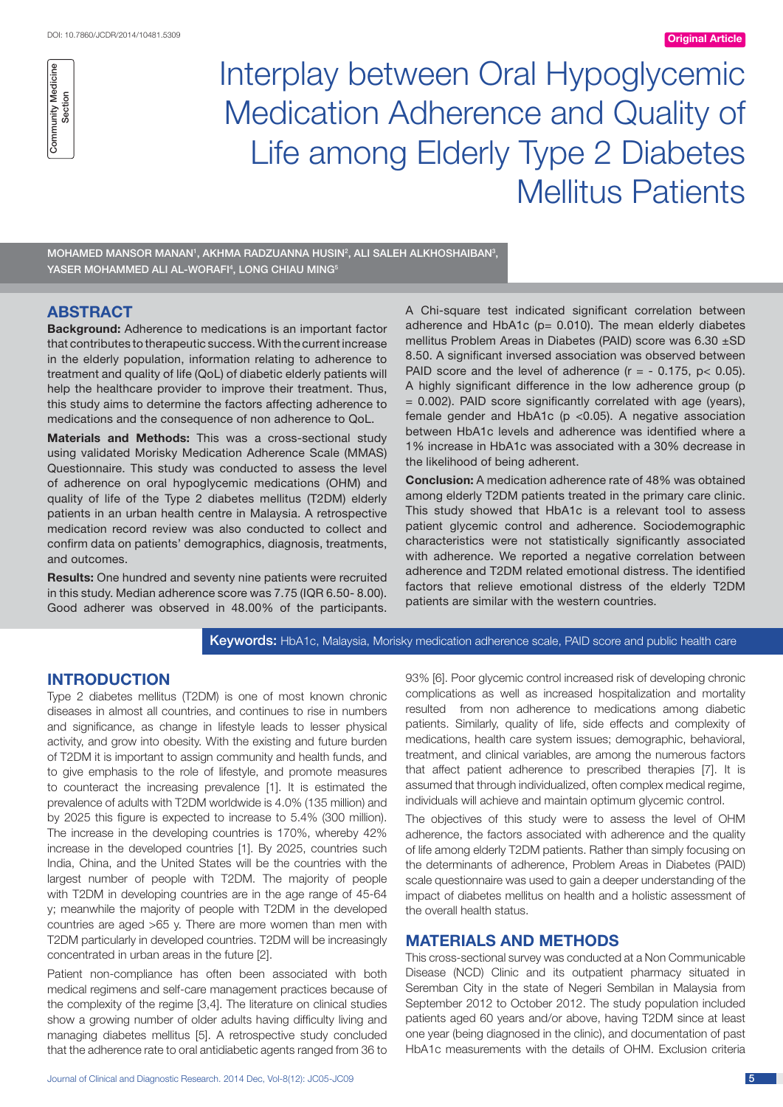

Interplay between Oral Hypoglycemic Medication Adherence and Quality of Life among Elderly Type 2 Diabetes Mellitus Patients

MOHAMED MANSOR MANAN', AKHMA RADZUANNA HUSIN<sup>2</sup>, ALI SALEH ALKHOSHAIBAN<sup>3</sup>, YASER MOHAMMED ALI AL-WORAFI<sup>4</sup>, LONG CHIAU MING<sup>5</sup>

# **ABSTRACT**

**Background:** Adherence to medications is an important factor that contributes to therapeutic success. With the current increase in the elderly population, information relating to adherence to treatment and quality of life (QoL) of diabetic elderly patients will help the healthcare provider to improve their treatment. Thus, this study aims to determine the factors affecting adherence to medications and the consequence of non adherence to QoL.

**Materials and Methods:** This was a cross-sectional study using validated Morisky Medication Adherence Scale (MMAS) Questionnaire. This study was conducted to assess the level of adherence on oral hypoglycemic medications (OHM) and quality of life of the Type 2 diabetes mellitus (T2DM) elderly patients in an urban health centre in Malaysia. A retrospective medication record review was also conducted to collect and confirm data on patients' demographics, diagnosis, treatments, and outcomes.

**Results:** One hundred and seventy nine patients were recruited in this study. Median adherence score was 7.75 (IQR 6.50- 8.00). Good adherer was observed in 48.00% of the participants.

A Chi-square test indicated significant correlation between adherence and HbA1c (p= 0.010). The mean elderly diabetes mellitus Problem Areas in Diabetes (PAID) score was 6.30 ±SD 8.50. A significant inversed association was observed between PAID score and the level of adherence  $(r = -0.175, p < 0.05)$ . A highly significant difference in the low adherence group (p = 0.002). PAID score significantly correlated with age (years), female gender and HbA1c (p <0.05). A negative association between HbA1c levels and adherence was identified where a 1% increase in HbA1c was associated with a 30% decrease in the likelihood of being adherent.

**Conclusion:** A medication adherence rate of 48% was obtained among elderly T2DM patients treated in the primary care clinic. This study showed that HbA1c is a relevant tool to assess patient glycemic control and adherence. Sociodemographic characteristics were not statistically significantly associated with adherence. We reported a negative correlation between adherence and T2DM related emotional distress. The identified factors that relieve emotional distress of the elderly T2DM patients are similar with the western countries.

# Keywords: HbA1c, Malaysia, Morisky medication adherence scale, PAID score and public health care

# **INTRODUCTION**

Type 2 diabetes mellitus (T2DM) is one of most known chronic diseases in almost all countries, and continues to rise in numbers and significance, as change in lifestyle leads to lesser physical activity, and grow into obesity. With the existing and future burden of T2DM it is important to assign community and health funds, and to give emphasis to the role of lifestyle, and promote measures to counteract the increasing prevalence [1]. It is estimated the prevalence of adults with T2DM worldwide is 4.0% (135 million) and by 2025 this figure is expected to increase to 5.4% (300 million). The increase in the developing countries is 170%, whereby 42% increase in the developed countries [1]. By 2025, countries such India, China, and the United States will be the countries with the largest number of people with T2DM. The majority of people with T2DM in developing countries are in the age range of 45-64 y; meanwhile the majority of people with T2DM in the developed countries are aged >65 y. There are more women than men with T2DM particularly in developed countries. T2DM will be increasingly concentrated in urban areas in the future [2].

Patient non-compliance has often been associated with both medical regimens and self-care management practices because of the complexity of the regime [3,4]. The literature on clinical studies show a growing number of older adults having difficulty living and managing diabetes mellitus [5]. A retrospective study concluded that the adherence rate to oral antidiabetic agents ranged from 36 to

93% [6]. Poor glycemic control increased risk of developing chronic complications as well as increased hospitalization and mortality resulted from non adherence to medications among diabetic patients. Similarly, quality of life, side effects and complexity of medications, health care system issues; demographic, behavioral, treatment, and clinical variables, are among the numerous factors that affect patient adherence to prescribed therapies [7]. It is assumed that through individualized, often complex medical regime, individuals will achieve and maintain optimum glycemic control.

The objectives of this study were to assess the level of OHM adherence, the factors associated with adherence and the quality of life among elderly T2DM patients. Rather than simply focusing on the determinants of adherence, Problem Areas in Diabetes (PAID) scale questionnaire was used to gain a deeper understanding of the impact of diabetes mellitus on health and a holistic assessment of the overall health status.

# **MATERIALS AND METHODS**

This cross-sectional survey was conducted at a Non Communicable Disease (NCD) Clinic and its outpatient pharmacy situated in Seremban City in the state of Negeri Sembilan in Malaysia from September 2012 to October 2012. The study population included patients aged 60 years and/or above, having T2DM since at least one year (being diagnosed in the clinic), and documentation of past HbA1c measurements with the details of OHM. Exclusion criteria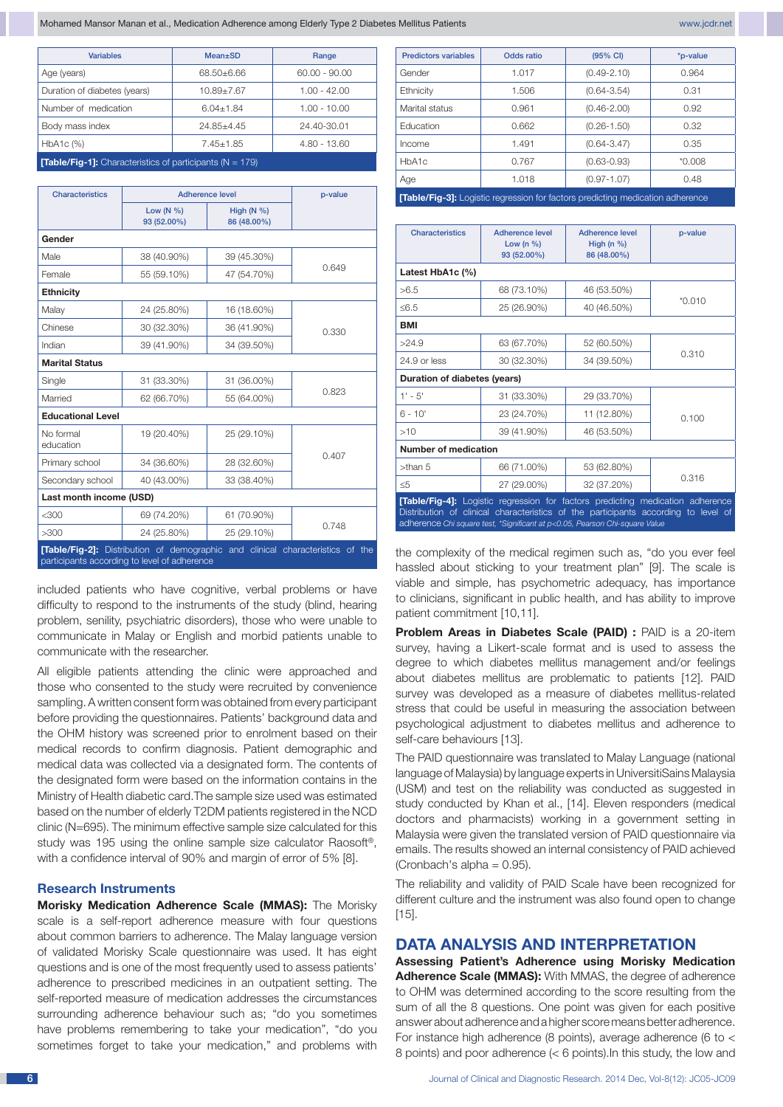Mohamed Mansor Manan et al., Medication Adherence among Elderly Type 2 Diabetes Mellitus Patients www.jcdr.net www.jcdr.net

| <b>Variables</b>                                                   | <b>Mean</b> ±SD  | Range           |  |  |  |
|--------------------------------------------------------------------|------------------|-----------------|--|--|--|
| Age (years)                                                        | 68.50+6.66       | $60.00 - 90.00$ |  |  |  |
| Duration of diabetes (years)                                       | $10.89 \pm 7.67$ | $1.00 - 42.00$  |  |  |  |
| Number of medication                                               | $6.04 + 1.84$    | $1.00 - 10.00$  |  |  |  |
| Body mass index                                                    | $24.85 + 4.45$   | 24.40-30.01     |  |  |  |
| HbA1c (%)                                                          | $7.45 + 1.85$    | 4.80 - 13.60    |  |  |  |
| <b>Table/Fig-1]:</b> Characteristics of participants ( $N = 179$ ) |                  |                 |  |  |  |

| <b>Characteristics</b>                                                                                                         | Adherence level              |                             | p-value |  |
|--------------------------------------------------------------------------------------------------------------------------------|------------------------------|-----------------------------|---------|--|
|                                                                                                                                | Low $(N \% )$<br>93 (52.00%) | High $(N %)$<br>86 (48.00%) |         |  |
| Gender                                                                                                                         |                              |                             |         |  |
| Male                                                                                                                           | 38 (40.90%)                  | 39 (45.30%)                 | 0.649   |  |
| Female                                                                                                                         | 55 (59.10%)                  | 47 (54.70%)                 |         |  |
| <b>Ethnicity</b>                                                                                                               |                              |                             |         |  |
| Malay                                                                                                                          | 24 (25.80%)                  | 16 (18.60%)                 | 0.330   |  |
| Chinese                                                                                                                        | 30 (32.30%)                  | 36 (41.90%)                 |         |  |
| Indian                                                                                                                         | 39 (41.90%)                  | 34 (39.50%)                 |         |  |
| <b>Marital Status</b>                                                                                                          |                              |                             |         |  |
| Single                                                                                                                         | 31 (33.30%)                  | 31 (36.00%)                 | 0.823   |  |
| Married                                                                                                                        | 62 (66.70%)                  | 55 (64.00%)                 |         |  |
| <b>Educational Level</b>                                                                                                       |                              |                             |         |  |
| No formal<br>education                                                                                                         | 19 (20.40%)                  | 25 (29.10%)                 | 0.407   |  |
| Primary school                                                                                                                 | 34 (36.60%)                  | 28 (32.60%)                 |         |  |
| Secondary school                                                                                                               | 40 (43.00%)                  | 33 (38.40%)                 |         |  |
| Last month income (USD)                                                                                                        |                              |                             |         |  |
| $<$ 300                                                                                                                        | 69 (74.20%)                  | 61 (70.90%)                 | 0.748   |  |
| >300                                                                                                                           | 24 (25.80%)                  | 25 (29.10%)                 |         |  |
| [Table/Fig-2]: Distribution of demographic and clinical characteristics of the<br>participants according to level of adherence |                              |                             |         |  |

included patients who have cognitive, verbal problems or have difficulty to respond to the instruments of the study (blind, hearing problem, senility, psychiatric disorders), those who were unable to communicate in Malay or English and morbid patients unable to communicate with the researcher.

All eligible patients attending the clinic were approached and those who consented to the study were recruited by convenience sampling. A written consent form was obtained from every participant before providing the questionnaires. Patients' background data and the OHM history was screened prior to enrolment based on their medical records to confirm diagnosis. Patient demographic and medical data was collected via a designated form. The contents of the designated form were based on the information contains in the Ministry of Health diabetic card.The sample size used was estimated based on the number of elderly T2DM patients registered in the NCD clinic (N=695). The minimum effective sample size calculated for this study was 195 using the online sample size calculator Raosoft®, with a confidence interval of 90% and margin of error of 5% [8].

#### **Research Instruments**

**Morisky Medication Adherence Scale (MMAS):** The Morisky scale is a self-report adherence measure with four questions about common barriers to adherence. The Malay language version of validated Morisky Scale questionnaire was used. It has eight questions and is one of the most frequently used to assess patients' adherence to prescribed medicines in an outpatient setting. The self-reported measure of medication addresses the circumstances surrounding adherence behaviour such as; "do you sometimes have problems remembering to take your medication", "do you sometimes forget to take your medication," and problems with

| <b>Predictors variables</b>                                                           | Odds ratio | $(95% \text{ Cl})$ | *p-value |  |
|---------------------------------------------------------------------------------------|------------|--------------------|----------|--|
| Gender                                                                                | 1.017      | $(0.49 - 2.10)$    | 0.964    |  |
| Ethnicity                                                                             | 1.506      | $(0.64 - 3.54)$    | 0.31     |  |
| Marital status                                                                        | 0.961      | $(0.46 - 2.00)$    | 0.92     |  |
| Education                                                                             | 0.662      | $(0.26 - 1.50)$    | 0.32     |  |
| Income                                                                                | 1.491      | $(0.64 - 3.47)$    | 0.35     |  |
| HbA1c                                                                                 | 0.767      | $(0.63 - 0.93)$    | $*0.008$ |  |
| Age                                                                                   | 1.018      | $(0.97 - 1.07)$    | 0.48     |  |
| <b>[Table/Fig-3]:</b> Logistic regression for factors predicting medication adherence |            |                    |          |  |

| Characteristics                                                                                                                                                                                                                                            | Adherence level<br>Low (n $%$ )<br>93 (52.00%) | Adherence level<br>High ( $n$ %)<br>86 (48.00%) | p-value  |  |
|------------------------------------------------------------------------------------------------------------------------------------------------------------------------------------------------------------------------------------------------------------|------------------------------------------------|-------------------------------------------------|----------|--|
| Latest HbA1c (%)                                                                                                                                                                                                                                           |                                                |                                                 |          |  |
| >6.5                                                                                                                                                                                                                                                       | 68 (73.10%)                                    | 46 (53.50%)                                     | $*0.010$ |  |
| < 6.5                                                                                                                                                                                                                                                      | 25 (26.90%)                                    | 40 (46.50%)                                     |          |  |
| <b>BMI</b>                                                                                                                                                                                                                                                 |                                                |                                                 |          |  |
| >24.9                                                                                                                                                                                                                                                      | 63 (67.70%)                                    | 52 (60.50%)                                     | 0.310    |  |
| 24.9 or less                                                                                                                                                                                                                                               | 30 (32.30%)                                    | 34 (39.50%)                                     |          |  |
| Duration of diabetes (years)                                                                                                                                                                                                                               |                                                |                                                 |          |  |
| $1' - 5'$                                                                                                                                                                                                                                                  | 31 (33.30%)                                    | 29 (33.70%)                                     |          |  |
| $6 - 10'$                                                                                                                                                                                                                                                  | 23 (24.70%)                                    | 11 (12.80%)                                     | 0.100    |  |
| >10                                                                                                                                                                                                                                                        | 39 (41.90%)                                    | 46 (53.50%)                                     |          |  |
| <b>Number of medication</b>                                                                                                                                                                                                                                |                                                |                                                 |          |  |
| $>$ than 5                                                                                                                                                                                                                                                 | 66 (71.00%)                                    | 53 (62.80%)                                     | 0.316    |  |
| $\leq 5$                                                                                                                                                                                                                                                   | 27 (29.00%)                                    | 32 (37.20%)                                     |          |  |
| <b>[Table/Fig-4]:</b> Logistic regression for factors predicting medication adherence<br>Distribution of clinical characteristics of the participants according to level of<br>adherence Chi square test, *Significant at p<0.05, Pearson Chi-square Value |                                                |                                                 |          |  |

the complexity of the medical regimen such as, "do you ever feel hassled about sticking to your treatment plan" [9]. The scale is viable and simple, has psychometric adequacy, has importance to clinicians, significant in public health, and has ability to improve patient commitment [10,11].

**Problem Areas in Diabetes Scale (PAID) :** PAID is a 20-item survey, having a Likert-scale format and is used to assess the degree to which diabetes mellitus management and/or feelings about diabetes mellitus are problematic to patients [12]. PAID survey was developed as a measure of diabetes mellitus-related stress that could be useful in measuring the association between psychological adjustment to diabetes mellitus and adherence to self-care behaviours [13].

The PAID questionnaire was translated to Malay Language (national language of Malaysia) by language experts in UniversitiSains Malaysia (USM) and test on the reliability was conducted as suggested in study conducted by Khan et al., [14]. Eleven responders (medical doctors and pharmacists) working in a government setting in Malaysia were given the translated version of PAID questionnaire via emails. The results showed an internal consistency of PAID achieved (Cronbach's alpha =  $0.95$ ).

The reliability and validity of PAID Scale have been recognized for different culture and the instrument was also found open to change [15].

# **DATA ANALYSIS AND INTERPRETATION**

**Assessing Patient's Adherence using Morisky Medication Adherence Scale (MMAS):** With MMAS, the degree of adherence to OHM was determined according to the score resulting from the sum of all the 8 questions. One point was given for each positive answer about adherence and a higher score means better adherence. For instance high adherence (8 points), average adherence (6 to < 8 points) and poor adherence (< 6 points).In this study, the low and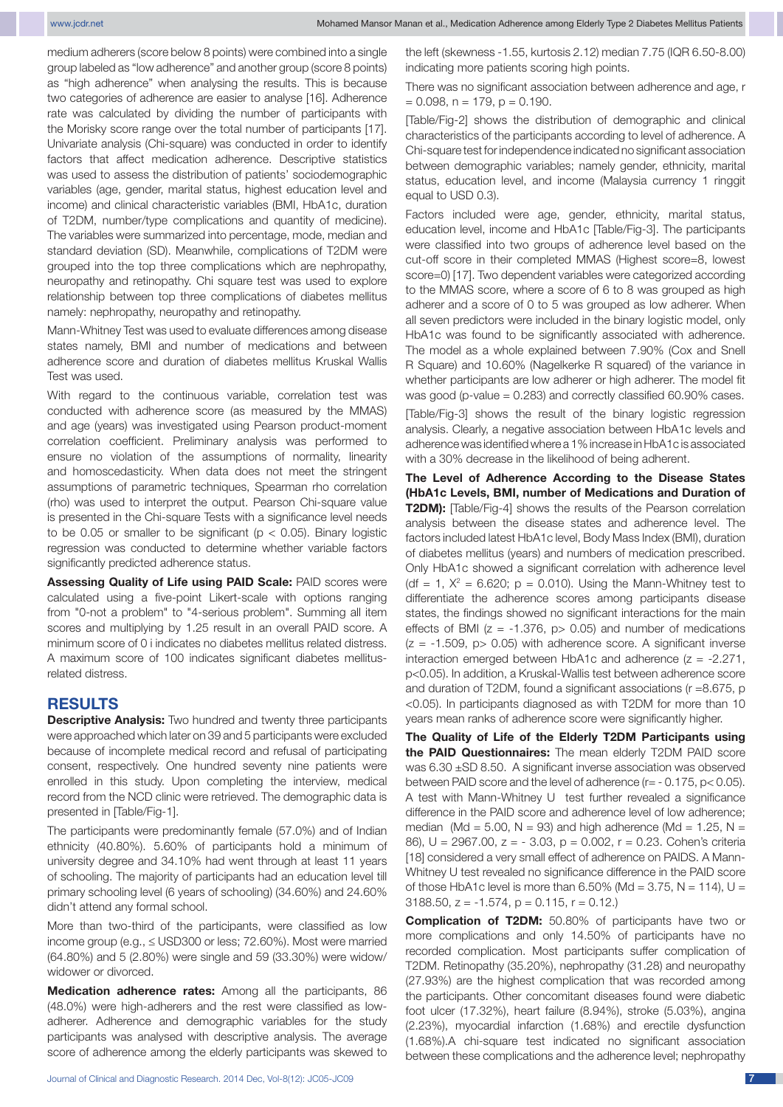medium adherers (score below 8 points) were combined into a single group labeled as "low adherence" and another group (score 8 points) as "high adherence" when analysing the results. This is because two categories of adherence are easier to analyse [16]. Adherence rate was calculated by dividing the number of participants with the Morisky score range over the total number of participants [17]. Univariate analysis (Chi-square) was conducted in order to identify factors that affect medication adherence. Descriptive statistics was used to assess the distribution of patients' sociodemographic variables (age, gender, marital status, highest education level and income) and clinical characteristic variables (BMI, HbA1c, duration of T2DM, number/type complications and quantity of medicine). The variables were summarized into percentage, mode, median and standard deviation (SD). Meanwhile, complications of T2DM were grouped into the top three complications which are nephropathy, neuropathy and retinopathy. Chi square test was used to explore relationship between top three complications of diabetes mellitus namely: nephropathy, neuropathy and retinopathy.

Mann-Whitney Test was used to evaluate differences among disease states namely, BMI and number of medications and between adherence score and duration of diabetes mellitus Kruskal Wallis Test was used.

With regard to the continuous variable, correlation test was conducted with adherence score (as measured by the MMAS) and age (years) was investigated using Pearson product-moment correlation coefficient. Preliminary analysis was performed to ensure no violation of the assumptions of normality, linearity and homoscedasticity. When data does not meet the stringent assumptions of parametric techniques, Spearman rho correlation (rho) was used to interpret the output. Pearson Chi-square value is presented in the Chi-square Tests with a significance level needs to be 0.05 or smaller to be significant ( $p < 0.05$ ). Binary logistic regression was conducted to determine whether variable factors significantly predicted adherence status.

**Assessing Quality of Life using PAID Scale: PAID scores were** calculated using a five-point Likert-scale with options ranging from "0-not a problem" to "4-serious problem". Summing all item scores and multiplying by 1.25 result in an overall PAID score. A minimum score of 0 i indicates no diabetes mellitus related distress. A maximum score of 100 indicates significant diabetes mellitusrelated distress.

### **RESULTS**

**Descriptive Analysis:** Two hundred and twenty three participants were approached which later on 39 and 5 participants were excluded because of incomplete medical record and refusal of participating consent, respectively. One hundred seventy nine patients were enrolled in this study. Upon completing the interview, medical record from the NCD clinic were retrieved. The demographic data is presented in [Table/Fig-1].

The participants were predominantly female (57.0%) and of Indian ethnicity (40.80%). 5.60% of participants hold a minimum of university degree and 34.10% had went through at least 11 years of schooling. The majority of participants had an education level till primary schooling level (6 years of schooling) (34.60%) and 24.60% didn't attend any formal school.

More than two-third of the participants, were classified as low income group (e.g., ≤ USD300 or less; 72.60%). Most were married (64.80%) and 5 (2.80%) were single and 59 (33.30%) were widow/ widower or divorced.

**Medication adherence rates:** Among all the participants, 86 (48.0%) were high-adherers and the rest were classified as lowadherer. Adherence and demographic variables for the study participants was analysed with descriptive analysis. The average score of adherence among the elderly participants was skewed to

the left (skewness -1.55, kurtosis 2.12) median 7.75 (IQR 6.50-8.00) indicating more patients scoring high points.

There was no significant association between adherence and age, r  $= 0.098$ ,  $n = 179$ ,  $p = 0.190$ .

[Table/Fig-2] shows the distribution of demographic and clinical characteristics of the participants according to level of adherence. A Chi-square test for independence indicated no significant association between demographic variables; namely gender, ethnicity, marital status, education level, and income (Malaysia currency 1 ringgit equal to USD 0.3).

Factors included were age, gender, ethnicity, marital status, education level, income and HbA1c [Table/Fig-3]. The participants were classified into two groups of adherence level based on the cut-off score in their completed MMAS (Highest score=8, lowest score=0) [17]. Two dependent variables were categorized according to the MMAS score, where a score of 6 to 8 was grouped as high adherer and a score of 0 to 5 was grouped as low adherer. When all seven predictors were included in the binary logistic model, only HbA1c was found to be significantly associated with adherence. The model as a whole explained between 7.90% (Cox and Snell R Square) and 10.60% (Nagelkerke R squared) of the variance in whether participants are low adherer or high adherer. The model fit was good (p-value = 0.283) and correctly classified 60.90% cases.

[Table/Fig-3] shows the result of the binary logistic regression analysis. Clearly, a negative association between HbA1c levels and adherence was identified where a 1% increase in HbA1c is associated with a 30% decrease in the likelihood of being adherent.

**The Level of Adherence According to the Disease States (HbA1c Levels, BMI, number of Medications and Duration of T2DM):** [Table/Fig-4] shows the results of the Pearson correlation analysis between the disease states and adherence level. The factors included latest HbA1c level, Body Mass Index (BMI), duration of diabetes mellitus (years) and numbers of medication prescribed. Only HbA1c showed a significant correlation with adherence level (df = 1,  $X^2$  = 6.620; p = 0.010). Using the Mann-Whitney test to differentiate the adherence scores among participants disease states, the findings showed no significant interactions for the main effects of BMI ( $z = -1.376$ ,  $p > 0.05$ ) and number of medications  $(z = -1.509, p > 0.05)$  with adherence score. A significant inverse interaction emerged between HbA1c and adherence  $(z = -2.271,$ p<0.05). In addition, a Kruskal-Wallis test between adherence score and duration of T2DM, found a significant associations (r =8.675, p <0.05). In participants diagnosed as with T2DM for more than 10 years mean ranks of adherence score were significantly higher.

**The Quality of Life of the Elderly T2DM Participants using the PAID Questionnaires:** The mean elderly T2DM PAID score was 6.30 ±SD 8.50. A significant inverse association was observed between PAID score and the level of adherence (r= - 0.175, p< 0.05). A test with Mann-Whitney U test further revealed a significance difference in the PAID score and adherence level of low adherence; median (Md = 5.00, N = 93) and high adherence (Md = 1.25, N = 86), U = 2967.00, z = - 3.03, p = 0.002, r = 0.23. Cohen's criteria [18] considered a very small effect of adherence on PAIDS. A Mann-Whitney U test revealed no significance difference in the PAID score of those HbA1c level is more than  $6.50\%$  (Md =  $3.75$ , N = 114), U = 3188.50,  $z = -1.574$ ,  $p = 0.115$ ,  $r = 0.12$ .

**Complication of T2DM:** 50.80% of participants have two or more complications and only 14.50% of participants have no recorded complication. Most participants suffer complication of T2DM. Retinopathy (35.20%), nephropathy (31.28) and neuropathy (27.93%) are the highest complication that was recorded among the participants. Other concomitant diseases found were diabetic foot ulcer (17.32%), heart failure (8.94%), stroke (5.03%), angina (2.23%), myocardial infarction (1.68%) and erectile dysfunction (1.68%).A chi-square test indicated no significant association between these complications and the adherence level; nephropathy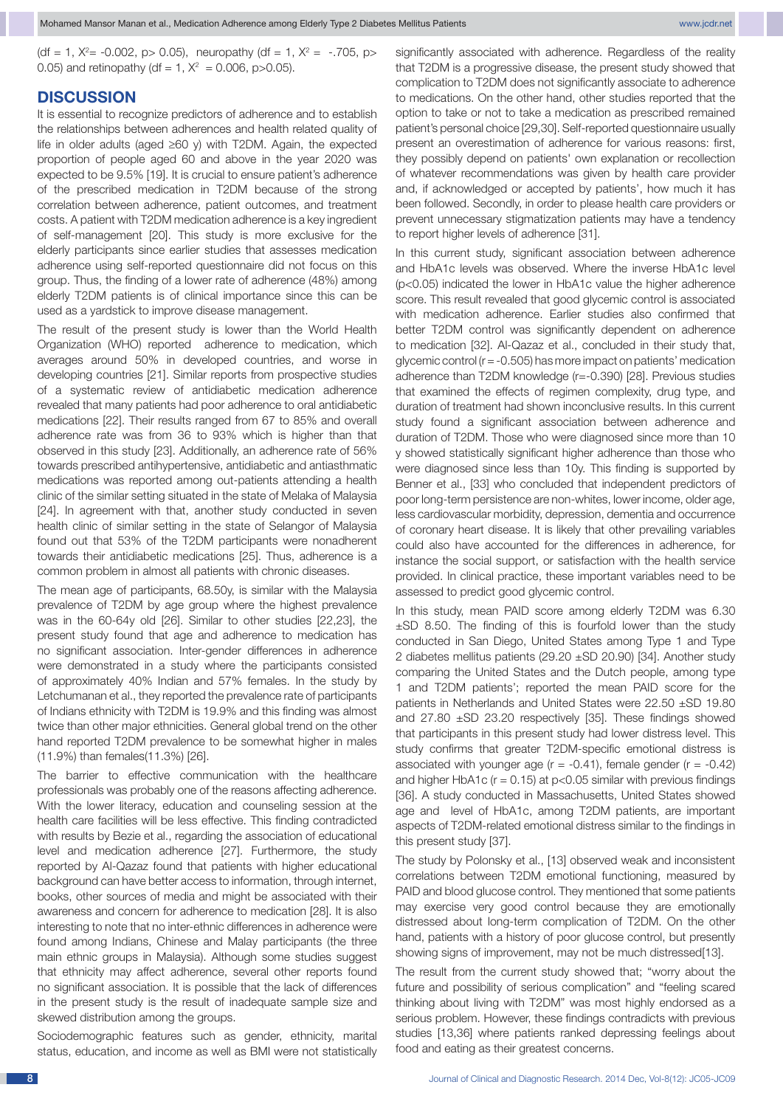Mohamed Mansor Manan et al., Medication Adherence among Elderly Type 2 Diabetes Mellitus Patients www.jcdr.net

 $(df = 1, X<sup>2</sup>= -0.002, p> 0.05)$ , neuropathy  $(df = 1, X<sup>2</sup> = -.705, p> 0.05)$ 0.05) and retinopathy (df = 1,  $X^2$  = 0.006, p>0.05).

# **DISCUSSION**

It is essential to recognize predictors of adherence and to establish the relationships between adherences and health related quality of life in older adults (aged ≥60 y) with T2DM. Again, the expected proportion of people aged 60 and above in the year 2020 was expected to be 9.5% [19]. It is crucial to ensure patient's adherence of the prescribed medication in T2DM because of the strong correlation between adherence, patient outcomes, and treatment costs. A patient with T2DM medication adherence is a key ingredient of self-management [20]. This study is more exclusive for the elderly participants since earlier studies that assesses medication adherence using self-reported questionnaire did not focus on this group. Thus, the finding of a lower rate of adherence (48%) among elderly T2DM patients is of clinical importance since this can be used as a yardstick to improve disease management.

The result of the present study is lower than the World Health Organization (WHO) reported adherence to medication, which averages around 50% in developed countries, and worse in developing countries [21]. Similar reports from prospective studies of a systematic review of antidiabetic medication adherence revealed that many patients had poor adherence to oral antidiabetic medications [22]. Their results ranged from 67 to 85% and overall adherence rate was from 36 to 93% which is higher than that observed in this study [23]. Additionally, an adherence rate of 56% towards prescribed antihypertensive, antidiabetic and antiasthmatic medications was reported among out-patients attending a health clinic of the similar setting situated in the state of Melaka of Malaysia [24]. In agreement with that, another study conducted in seven health clinic of similar setting in the state of Selangor of Malaysia found out that 53% of the T2DM participants were nonadherent towards their antidiabetic medications [25]. Thus, adherence is a common problem in almost all patients with chronic diseases.

The mean age of participants, 68.50y, is similar with the Malaysia prevalence of T2DM by age group where the highest prevalence was in the 60-64y old [26]. Similar to other studies [22,23], the present study found that age and adherence to medication has no significant association. Inter-gender differences in adherence were demonstrated in a study where the participants consisted of approximately 40% Indian and 57% females. In the study by Letchumanan et al., they reported the prevalence rate of participants of Indians ethnicity with T2DM is 19.9% and this finding was almost twice than other major ethnicities. General global trend on the other hand reported T2DM prevalence to be somewhat higher in males (11.9%) than females(11.3%) [26].

The barrier to effective communication with the healthcare professionals was probably one of the reasons affecting adherence. With the lower literacy, education and counseling session at the health care facilities will be less effective. This finding contradicted with results by Bezie et al., regarding the association of educational level and medication adherence [27]. Furthermore, the study reported by Al-Qazaz found that patients with higher educational background can have better access to information, through internet, books, other sources of media and might be associated with their awareness and concern for adherence to medication [28]. It is also interesting to note that no inter-ethnic differences in adherence were found among Indians, Chinese and Malay participants (the three main ethnic groups in Malaysia). Although some studies suggest that ethnicity may affect adherence, several other reports found no significant association. It is possible that the lack of differences in the present study is the result of inadequate sample size and skewed distribution among the groups.

Sociodemographic features such as gender, ethnicity, marital status, education, and income as well as BMI were not statistically significantly associated with adherence. Regardless of the reality that T2DM is a progressive disease, the present study showed that complication to T2DM does not significantly associate to adherence to medications. On the other hand, other studies reported that the option to take or not to take a medication as prescribed remained patient's personal choice [29,30]. Self-reported questionnaire usually present an overestimation of adherence for various reasons: first, they possibly depend on patients' own explanation or recollection of whatever recommendations was given by health care provider and, if acknowledged or accepted by patients', how much it has been followed. Secondly, in order to please health care providers or prevent unnecessary stigmatization patients may have a tendency to report higher levels of adherence [31].

In this current study, significant association between adherence and HbA1c levels was observed. Where the inverse HbA1c level (p<0.05) indicated the lower in HbA1c value the higher adherence score. This result revealed that good glycemic control is associated with medication adherence. Earlier studies also confirmed that better T2DM control was significantly dependent on adherence to medication [32]. Al-Qazaz et al., concluded in their study that, glycemic control ( $r = -0.505$ ) has more impact on patients' medication adherence than T2DM knowledge (r=-0.390) [28]. Previous studies that examined the effects of regimen complexity, drug type, and duration of treatment had shown inconclusive results. In this current study found a significant association between adherence and duration of T2DM. Those who were diagnosed since more than 10 y showed statistically significant higher adherence than those who were diagnosed since less than 10y. This finding is supported by Benner et al., [33] who concluded that independent predictors of poor long-term persistence are non-whites, lower income, older age, less cardiovascular morbidity, depression, dementia and occurrence of coronary heart disease. It is likely that other prevailing variables could also have accounted for the differences in adherence, for instance the social support, or satisfaction with the health service provided. In clinical practice, these important variables need to be assessed to predict good glycemic control.

In this study, mean PAID score among elderly T2DM was 6.30 ±SD 8.50. The finding of this is fourfold lower than the study conducted in San Diego, United States among Type 1 and Type 2 diabetes mellitus patients (29.20 ±SD 20.90) [34]. Another study comparing the United States and the Dutch people, among type 1 and T2DM patients'; reported the mean PAID score for the patients in Netherlands and United States were 22.50 ±SD 19.80 and 27.80 ±SD 23.20 respectively [35]. These findings showed that participants in this present study had lower distress level. This study confirms that greater T2DM-specific emotional distress is associated with younger age  $(r = -0.41)$ , female gender  $(r = -0.42)$ and higher HbA1c ( $r = 0.15$ ) at p<0.05 similar with previous findings [36]. A study conducted in Massachusetts, United States showed age and level of HbA1c, among T2DM patients, are important aspects of T2DM-related emotional distress similar to the findings in this present study [37].

The study by Polonsky et al., [13] observed weak and inconsistent correlations between T2DM emotional functioning, measured by PAID and blood glucose control. They mentioned that some patients may exercise very good control because they are emotionally distressed about long-term complication of T2DM. On the other hand, patients with a history of poor glucose control, but presently showing signs of improvement, may not be much distressed[13].

The result from the current study showed that; "worry about the future and possibility of serious complication" and "feeling scared thinking about living with T2DM" was most highly endorsed as a serious problem. However, these findings contradicts with previous studies [13,36] where patients ranked depressing feelings about food and eating as their greatest concerns.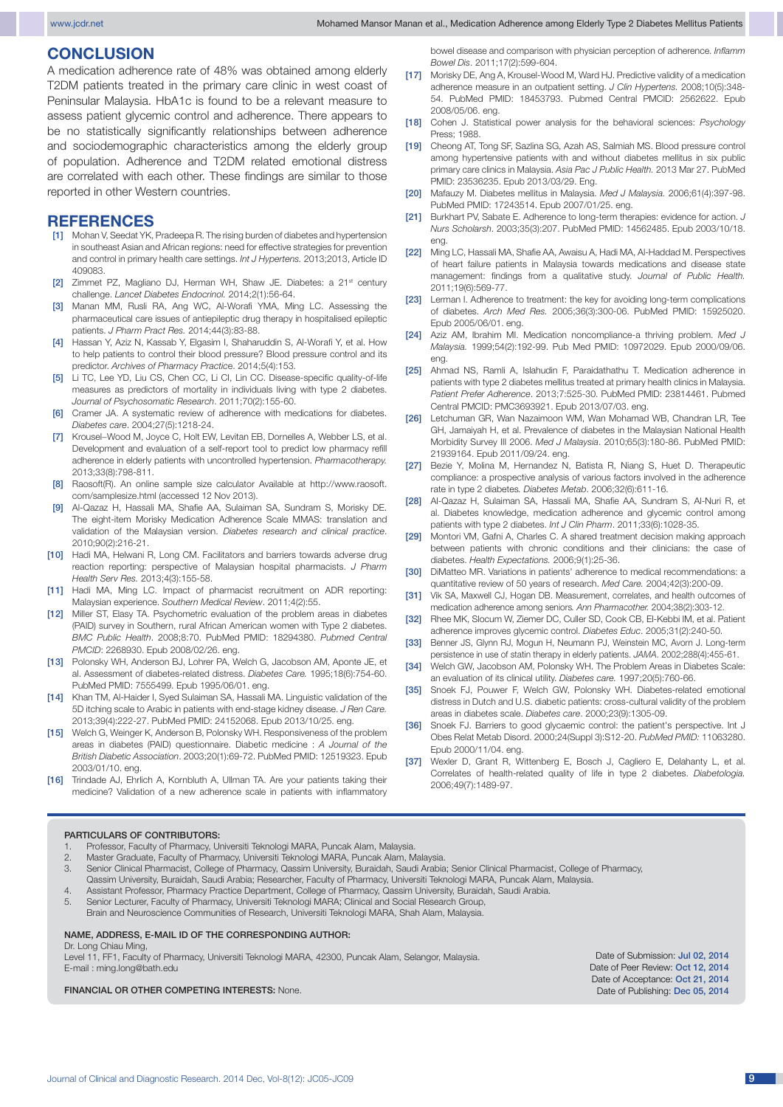# **CONCLUSION**

A medication adherence rate of 48% was obtained among elderly T2DM patients treated in the primary care clinic in west coast of Peninsular Malaysia. HbA1c is found to be a relevant measure to assess patient glycemic control and adherence. There appears to be no statistically significantly relationships between adherence and sociodemographic characteristics among the elderly group of population. Adherence and T2DM related emotional distress are correlated with each other. These findings are similar to those reported in other Western countries.

# **REFERENCES**<br>[1] Mohan V, Seedat YK,

- Mohan V, Seedat YK, Pradeepa R. The rising burden of diabetes and hypertension in southeast Asian and African regions: need for effective strategies for prevention and control in primary health care settings. *Int J Hypertens.* 2013;2013, Article ID 409083.
- [2] Zimmet PZ, Magliano DJ, Herman WH, Shaw JE. Diabetes: a 21<sup>st</sup> century challenge. *Lancet Diabetes Endocrinol.* 2014;2(1):56-64.
- [3] Manan MM, Rusli RA, Ang WC, Al-Worafi YMA, Ming LC. Assessing the pharmaceutical care issues of antiepileptic drug therapy in hospitalised epileptic patients. *J Pharm Pract Res.* 2014;44(3):83-88.
- [4] Hassan Y, Aziz N, Kassab Y, Elgasim I, Shaharuddin S, Al-Worafi Y, et al. How to help patients to control their blood pressure? Blood pressure control and its predictor. *Archives of Pharmacy Practic*e. 2014;5(4):153.
- [5] Li TC, Lee YD, Liu CS, Chen CC, Li CI, Lin CC. Disease-specific quality-of-life measures as predictors of mortality in individuals living with type 2 diabetes. *Journal of Psychosomatic Research*. 2011;70(2):155-60.
- [6] Cramer JA. A systematic review of adherence with medications for diabetes. *Diabetes care*. 2004;27(5):1218-24.
- [7] Krousel-Wood M, Joyce C, Holt EW, Levitan EB, Dornelles A, Webber LS, et al. Development and evaluation of a self-report tool to predict low pharmacy refill adherence in elderly patients with uncontrolled hypertension. *Pharmacotherapy.* 2013;33(8):798-811.
- [8] Raosoft(R). An online sample size calculator Available at http://www.raosoft. com/samplesize.html (accessed 12 Nov 2013).
- Al-Qazaz H, Hassali MA, Shafie AA, Sulaiman SA, Sundram S, Morisky DE. The eight-item Morisky Medication Adherence Scale MMAS: translation and validation of the Malaysian version. *Diabetes research and clinical practice*. 2010;90(2):216-21.
- [10] Hadi MA, Helwani R, Long CM. Facilitators and barriers towards adverse drug reaction reporting: perspective of Malaysian hospital pharmacists. *J Pharm Health Serv Res.* 2013;4(3):155-58.
- [11] Hadi MA, Ming LC. Impact of pharmacist recruitment on ADR reporting: Malaysian experience. *Southern Medical Review*. 2011;4(2):55.
- [12] Miller ST, Elasy TA. Psychometric evaluation of the problem areas in diabetes (PAID) survey in Southern, rural African American women with Type 2 diabetes. *BMC Public Health*. 2008;8:70. PubMed PMID: 18294380. *Pubmed Central PMCID*: 2268930. Epub 2008/02/26. eng.
- [13] Polonsky WH, Anderson BJ, Lohrer PA, Welch G, Jacobson AM, Aponte JE, et al. Assessment of diabetes-related distress. *Diabetes Care.* 1995;18(6):754-60. PubMed PMID: 7555499. Epub 1995/06/01. eng.
- [14] Khan TM, Al-Haider I, Syed Sulaiman SA, Hassali MA. Linguistic validation of the 5D itching scale to Arabic in patients with end-stage kidney disease. *J Ren Care.* 2013;39(4):222-27. PubMed PMID: 24152068. Epub 2013/10/25. eng.
- [15] Welch G, Weinger K, Anderson B, Polonsky WH. Responsiveness of the problem areas in diabetes (PAID) questionnaire. Diabetic medicine : *A Journal of the British Diabetic Association*. 2003;20(1):69-72. PubMed PMID: 12519323. Epub 2003/01/10. eng.
- [16] Trindade AJ, Ehrlich A, Kornbluth A, Ullman TA. Are your patients taking their medicine? Validation of a new adherence scale in patients with inflammatory

bowel disease and comparison with physician perception of adherence. *Inflamm Bowel Dis*. 2011;17(2):599-604.

- [17] Morisky DE, Ang A, Krousel-Wood M, Ward HJ. Predictive validity of a medication adherence measure in an outpatient setting. *J Clin Hypertens.* 2008;10(5):348- 54. PubMed PMID: 18453793. Pubmed Central PMCID: 2562622. Epub 2008/05/06. eng.
- [18] Cohen J. Statistical power analysis for the behavioral sciences: *Psychology*  Press; 1988.
- [19] Cheong AT, Tong SF, Sazlina SG, Azah AS, Salmiah MS. Blood pressure control among hypertensive patients with and without diabetes mellitus in six public primary care clinics in Malaysia. *Asia Pac J Public Health.* 2013 Mar 27. PubMed PMID: 23536235. Epub 2013/03/29. Eng.
- [20] Mafauzy M. Diabetes mellitus in Malaysia. *Med J Malaysia.* 2006;61(4):397-98. PubMed PMID: 17243514. Epub 2007/01/25. eng.
- [21] Burkhart PV, Sabate E. Adherence to long-term therapies: evidence for action. *J Nurs Scholarsh*. 2003;35(3):207. PubMed PMID: 14562485. Epub 2003/10/18. eng.
- [22] Ming LC, Hassali MA, Shafie AA, Awaisu A, Hadi MA, Al-Haddad M. Perspectives of heart failure patients in Malaysia towards medications and disease state management: findings from a qualitative study. *Journal of Public Health.*  2011;19(6):569-77.
- [23] Lerman I. Adherence to treatment: the key for avoiding long-term complications of diabetes. *Arch Med Res.* 2005;36(3):300-06. PubMed PMID: 15925020. Epub 2005/06/01. eng.
- [24] Aziz AM, Ibrahim MI. Medication noncompliance-a thriving problem. *Med J Malaysia.* 1999;54(2):192-99. Pub Med PMID: 10972029. Epub 2000/09/06. eng.
- [25] Ahmad NS, Ramli A, Islahudin F, Paraidathathu T. Medication adherence in patients with type 2 diabetes mellitus treated at primary health clinics in Malaysia. *Patient Prefer Adherence*. 2013;7:525-30. PubMed PMID: 23814461. Pubmed Central PMCID: PMC3693921. Epub 2013/07/03. eng.
- [26] Letchuman GR, Wan Nazaimoon WM, Wan Mohamad WB, Chandran LR, Tee GH, Jamaiyah H, et al. Prevalence of diabetes in the Malaysian National Health Morbidity Survey III 2006. *Med J Malaysia*. 2010;65(3):180-86. PubMed PMID: 21939164. Epub 2011/09/24. eng.
- [27] Bezie Y, Molina M, Hernandez N, Batista R, Niang S, Huet D. Therapeutic compliance: a prospective analysis of various factors involved in the adherence rate in type 2 diabetes*. Diabetes Metab*. 2006;32(6):611-16.
- [28] Al-Qazaz H, Sulaiman SA, Hassali MA, Shafie AA, Sundram S, Al-Nuri R, et al. Diabetes knowledge, medication adherence and glycemic control among patients with type 2 diabetes. *Int J Clin Pharm*. 2011;33(6):1028-35.
- [29] Montori VM, Gafni A, Charles C. A shared treatment decision making approach between patients with chronic conditions and their clinicians: the case of diabetes. *Health Expectations.* 2006;9(1):25-36.
- [30] DiMatteo MR. Variations in patients' adherence to medical recommendations: a quantitative review of 50 years of research. *Med Care.* 2004;42(3):200-09.
- [31] Vik SA, Maxwell CJ, Hogan DB. Measurement, correlates, and health outcomes of medication adherence among seniors*. Ann Pharmacother.* 2004;38(2):303-12.
- [32] Rhee MK, Slocum W, Ziemer DC, Culler SD, Cook CB, El-Kebbi IM, et al. Patient adherence improves glycemic control. *Diabetes Educ*. 2005;31(2):240-50.
- [33] Benner JS, Glynn RJ, Mogun H, Neumann PJ, Weinstein MC, Avorn J. Long-term persistence in use of statin therapy in elderly patients. *JAMA*. 2002;288(4):455-61.
- [34] Welch GW, Jacobson AM, Polonsky WH. The Problem Areas in Diabetes Scale: an evaluation of its clinical utility. *Diabetes care.* 1997;20(5):760-66.
- [35] Snoek FJ, Pouwer F, Welch GW, Polonsky WH. Diabetes-related emotional distress in Dutch and U.S. diabetic patients: cross-cultural validity of the problem areas in diabetes scale. *Diabetes care*. 2000;23(9):1305-09.
- [36] Snoek FJ. Barriers to good glycaemic control: the patient's perspective. Int J Obes Relat Metab Disord. 2000;24(Suppl 3):S12-20. *PubMed PMID:* 11063280. Epub 2000/11/04. eng.
- [37] Wexler D, Grant R, Wittenberg E, Bosch J, Cagliero E, Delahanty L, et al. Correlates of health-related quality of life in type 2 diabetes. *Diabetologia.*  2006;49(7):1489-97.

#### PARTICULARS OF CONTRIBUTORS:

- 1. Professor, Faculty of Pharmacy, Universiti Teknologi MARA, Puncak Alam, Malaysia.
- 2. Master Graduate, Faculty of Pharmacy, Universiti Teknologi MARA, Puncak Alam, Malaysia.
- 3. Senior Clinical Pharmacist, College of Pharmacy, Qassim University, Buraidah, Saudi Arabia; Senior Clinical Pharmacist, College of Pharmacy,
- Qassim University, Buraidah, Saudi Arabia; Researcher, Faculty of Pharmacy, Universiti Teknologi MARA, Puncak Alam, Malaysia.
- 4. Assistant Professor, Pharmacy Practice Department, College of Pharmacy, Qassim University, Buraidah, Saudi Arabia.
- 5. Senior Lecturer, Faculty of Pharmacy, Universiti Teknologi MARA; Clinical and Social Research Group, Brain and Neuroscience Communities of Research, Universiti Teknologi MARA, Shah Alam, Malaysia.

#### NAME, ADDRESS, E-MAIL ID OF THE CORRESPONDING AUTHOR:

Dr. Long Chiau Ming, Level 11, FF1, Faculty of Pharmacy, Universiti Teknologi MARA, 42300, Puncak Alam, Selangor, Malaysia.

E-mail : ming.long@bath.edu

FINANCIAL OR OTHER COMPETING INTERESTS: None.

Date of Submission: Jul 02, 2014 Date of Peer Review: Oct 12, 2014 Date of Acceptance: Oct 21, 2014 Date of Publishing: Dec 05, 2014